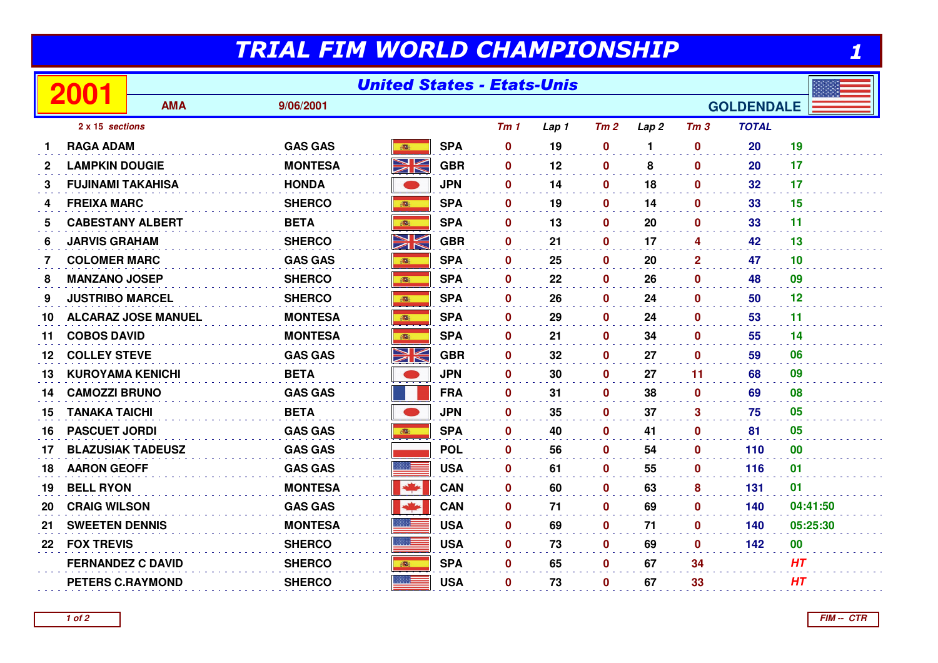## TRIAL FIM WORLD CHAMPIONSHIP

| TRIAL FIM WORLD CHAMPIONSHIP |                                           |            |                |               |            |                   |       |                  |                  |                  |              |           |
|------------------------------|-------------------------------------------|------------|----------------|---------------|------------|-------------------|-------|------------------|------------------|------------------|--------------|-----------|
|                              | <b>United States - Etats-Unis</b><br>2001 |            |                |               |            |                   |       |                  |                  |                  |              |           |
|                              |                                           | <b>AMA</b> | 9/06/2001      |               |            | <b>GOLDENDALE</b> |       |                  |                  |                  |              |           |
|                              | 2 x 15 sections                           |            |                |               |            | Tm1               | Lap 1 | Tm2              | Lap <sub>2</sub> | Tm <sub>3</sub>  | <b>TOTAL</b> |           |
|                              | <b>RAGA ADAM</b>                          |            | <b>GAS GAS</b> | <b>BEE</b>    | <b>SPA</b> | $\bf{0}$          | 19    | $\mathbf 0$      | 1                | $\mathbf 0$      | 20           | 19        |
| 2                            | <b>LAMPKIN DOUGIE</b>                     |            | <b>MONTESA</b> | NK<br>MK      | <b>GBR</b> | $\mathbf 0$       | 12    | $\mathbf 0$      | 8                | $\mathbf 0$      | 20           | 17        |
| 3                            | <b>FUJINAMI TAKAHISA</b>                  |            | <b>HONDA</b>   |               | <b>JPN</b> | $\mathbf 0$       | 14    | $\mathbf 0$      | 18               | $\mathbf 0$      | 32           | 17        |
| 4                            | <b>FREIXA MARC</b>                        |            | <b>SHERCO</b>  | 1991          | <b>SPA</b> | $\mathbf 0$       | 19    | $\mathbf 0$      | 14               | $\mathbf 0$      | 33           | 15        |
| 5                            | <b>CABESTANY ALBERT</b>                   |            | <b>BETA</b>    |               | <b>SPA</b> | $\mathbf 0$       | 13    | $\mathbf 0$      | 20               | $\mathbf 0$      | 33           | 11        |
| 6                            | <b>JARVIS GRAHAM</b>                      |            | <b>SHERCO</b>  | NK            | <b>GBR</b> | $\mathbf{0}$      | 21    | $\mathbf 0$      | 17               | 4                | 42           | 13        |
| 7                            | <b>COLOMER MARC</b>                       |            | <b>GAS GAS</b> |               | <b>SPA</b> | $\bf{0}$          | 25    | $\mathbf{0}$     | 20               | $\mathbf{2}$     | 47           | 10        |
| 8                            | <b>MANZANO JOSEP</b>                      |            | <b>SHERCO</b>  |               | <b>SPA</b> | $\mathbf 0$       | 22    | $\mathbf 0$      | 26               | $\mathbf 0$      | 48           | 09        |
| 9                            | <b>JUSTRIBO MARCEL</b>                    |            | <b>SHERCO</b>  |               | <b>SPA</b> | $\mathbf{0}$      | 26    | $\mathbf{0}$     | 24               | $\mathbf{0}$     | 50           | 12        |
| 10                           | <b>ALCARAZ JOSE MANUEL</b>                |            | <b>MONTESA</b> | 1861          | <b>SPA</b> | $\mathbf 0$       | 29    | $\mathbf 0$      | 24               | $\mathbf 0$      | 53           | 11        |
| 11                           | <b>COBOS DAVID</b>                        |            | <b>MONTESA</b> | 高             | <b>SPA</b> | $\bf{0}$          | 21    | $\mathbf 0$      | 34               | $\mathbf 0$      | 55           | 14        |
| 12                           | <b>COLLEY STEVE</b>                       |            | <b>GAS GAS</b> | NK<br>ZK      | <b>GBR</b> | $\bf{0}$          | 32    | $\mathbf 0$      | 27               | $\mathbf{0}$     | 59           | 06        |
| 13                           | <b>KUROYAMA KENICHI</b>                   |            | <b>BETA</b>    |               | <b>JPN</b> | $\bf{0}$          | 30    | $\mathbf 0$      | 27               | 11               | 68           | 09        |
| 14                           | <b>CAMOZZI BRUNO</b>                      |            | <b>GAS GAS</b> |               | <b>FRA</b> | $\bf{0}$          | 31    | $\mathbf 0$      | 38               | $\mathbf 0$      | 69           | 08        |
| 15                           | <b>TANAKA TAICHI</b>                      |            | <b>BETA</b>    |               | <b>JPN</b> | $\mathbf 0$       | 35    | $\pmb{0}$        | 37               | $\mathbf{3}$     | 75           | 05        |
| 16                           | <b>PASCUET JORDI</b>                      |            | <b>GAS GAS</b> | 高             | <b>SPA</b> | $\mathbf 0$       | 40    | $\mathbf 0$      | 41               | $\mathbf 0$      | 81           | 05        |
| 17                           | <b>BLAZUSIAK TADEUSZ</b>                  |            | <b>GAS GAS</b> |               | <b>POL</b> | 0                 | 56    | $\mathbf 0$      | 54               | $\mathbf 0$      | 110          | 00        |
| 18                           | <b>AARON GEOFF</b>                        |            | <b>GAS GAS</b> | 888 E         | <b>USA</b> | $\bf{0}$          | 61    | $\mathbf 0$      | 55               | $\mathbf 0$      | 116          | 01        |
| 19                           | <b>BELL RYON</b>                          |            | <b>MONTESA</b> | $\frac{1}{2}$ | <b>CAN</b> | $\mathbf 0$       | 60    | $\mathbf 0$      | 63               | 8                | 131          | 01        |
| 20                           | <b>CRAIG WILSON</b>                       |            | <b>GAS GAS</b> | $\frac{1}{2}$ | <b>CAN</b> | $\bf{0}$          | 71    | $\boldsymbol{0}$ | 69               | $\boldsymbol{0}$ | 140          | 04:41:50  |
| 21                           | <b>SWEETEN DENNIS</b>                     |            | <b>MONTESA</b> |               | <b>USA</b> | $\mathbf 0$       | 69    | $\mathbf 0$      | 71               | $\mathbf 0$      | 140          | 05:25:30  |
| 22                           | <b>FOX TREVIS</b>                         |            | <b>SHERCO</b>  | 混目            | <b>USA</b> | $\mathbf 0$       | 73    | $\mathbf 0$      | 69               | $\mathbf 0$      | 142          | $\bf{00}$ |
|                              | <b>FERNANDEZ C DAVID</b>                  |            | <b>SHERCO</b>  | <b>POST</b>   | <b>SPA</b> | $\mathbf 0$       | 65    | $\mathbf 0$      | 67               | 34               |              | HT        |
|                              | <b>PETERS C.RAYMOND</b>                   |            | <b>SHERCO</b>  |               | <b>USA</b> | 0                 | 73    | $\mathbf 0$      | 67               | 33               |              | HT        |
|                              |                                           |            |                |               |            |                   |       |                  |                  |                  |              |           |